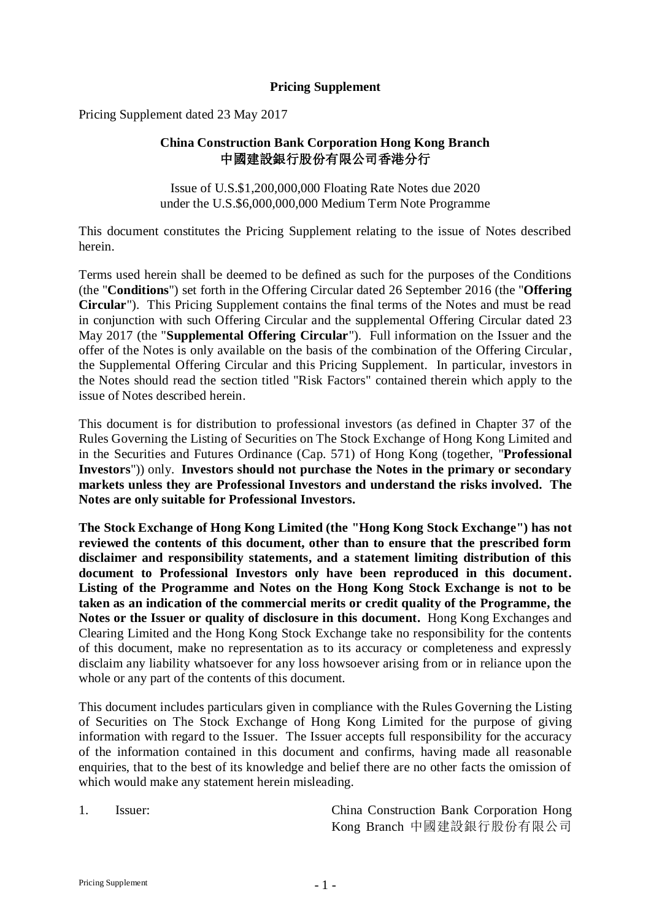### **Pricing Supplement**

Pricing Supplement dated 23 May 2017

## **China Construction Bank Corporation Hong Kong Branch** 中國建設銀行股份有限公司香港分行

Issue of U.S.\$1,200,000,000 Floating Rate Notes due 2020 under the U.S.\$6,000,000,000 Medium Term Note Programme

This document constitutes the Pricing Supplement relating to the issue of Notes described herein.

Terms used herein shall be deemed to be defined as such for the purposes of the Conditions (the "**Conditions**") set forth in the Offering Circular dated 26 September 2016 (the "**Offering Circular**"). This Pricing Supplement contains the final terms of the Notes and must be read in conjunction with such Offering Circular and the supplemental Offering Circular dated 23 May 2017 (the "**Supplemental Offering Circular**"). Full information on the Issuer and the offer of the Notes is only available on the basis of the combination of the Offering Circular, the Supplemental Offering Circular and this Pricing Supplement. In particular, investors in the Notes should read the section titled "Risk Factors" contained therein which apply to the issue of Notes described herein.

This document is for distribution to professional investors (as defined in Chapter 37 of the Rules Governing the Listing of Securities on The Stock Exchange of Hong Kong Limited and in the Securities and Futures Ordinance (Cap. 571) of Hong Kong (together, "**Professional Investors**")) only. **Investors should not purchase the Notes in the primary or secondary markets unless they are Professional Investors and understand the risks involved. The Notes are only suitable for Professional Investors.**

**The Stock Exchange of Hong Kong Limited (the "Hong Kong Stock Exchange") has not reviewed the contents of this document, other than to ensure that the prescribed form disclaimer and responsibility statements, and a statement limiting distribution of this document to Professional Investors only have been reproduced in this document. Listing of the Programme and Notes on the Hong Kong Stock Exchange is not to be taken as an indication of the commercial merits or credit quality of the Programme, the Notes or the Issuer or quality of disclosure in this document.** Hong Kong Exchanges and Clearing Limited and the Hong Kong Stock Exchange take no responsibility for the contents of this document, make no representation as to its accuracy or completeness and expressly disclaim any liability whatsoever for any loss howsoever arising from or in reliance upon the whole or any part of the contents of this document.

This document includes particulars given in compliance with the Rules Governing the Listing of Securities on The Stock Exchange of Hong Kong Limited for the purpose of giving information with regard to the Issuer. The Issuer accepts full responsibility for the accuracy of the information contained in this document and confirms, having made all reasonable enquiries, that to the best of its knowledge and belief there are no other facts the omission of which would make any statement herein misleading.

1. Issuer: China Construction Bank Corporation Hong Kong Branch 中國建設銀行股份有限公司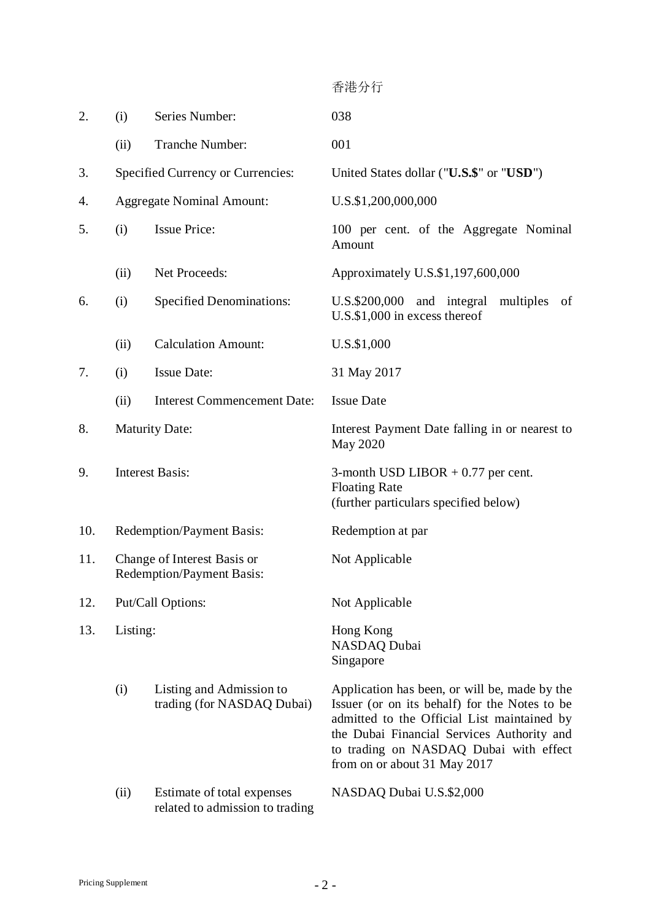香港分行 2. (i) Series Number: 038 (ii) Tranche Number: 001 3. Specified Currency or Currencies: United States dollar ("**U.S.\$**" or "**USD**") 4. Aggregate Nominal Amount: U.S.\$1,200,000,000 5. (i) Issue Price: 100 per cent. of the Aggregate Nominal Amount (ii) Net Proceeds: Approximately U.S.\$1,197,600,000 6. (i) Specified Denominations: U.S.\$200,000 and integral multiples of U.S.\$1,000 in excess thereof (ii) Calculation Amount: U.S.\$1,000 7. (i) Issue Date: 31 May 2017 (ii) Interest Commencement Date: Issue Date 8. Maturity Date: Interest Payment Date falling in or nearest to May 2020 9. Interest Basis: 3-month USD LIBOR + 0.77 per cent. Floating Rate (further particulars specified below) 10. Redemption/Payment Basis: Redemption at par 11. Change of Interest Basis or Redemption/Payment Basis: Not Applicable 12. Put/Call Options: Not Applicable 13. Listing: Hong Kong NASDAQ Dubai Singapore (i) Listing and Admission to trading (for NASDAQ Dubai) Application has been, or will be, made by the

Issuer (or on its behalf) for the Notes to be admitted to the Official List maintained by the Dubai Financial Services Authority and to trading on NASDAQ Dubai with effect from on or about 31 May 2017

(ii) Estimate of total expenses related to admission to trading NASDAQ Dubai U.S.\$2,000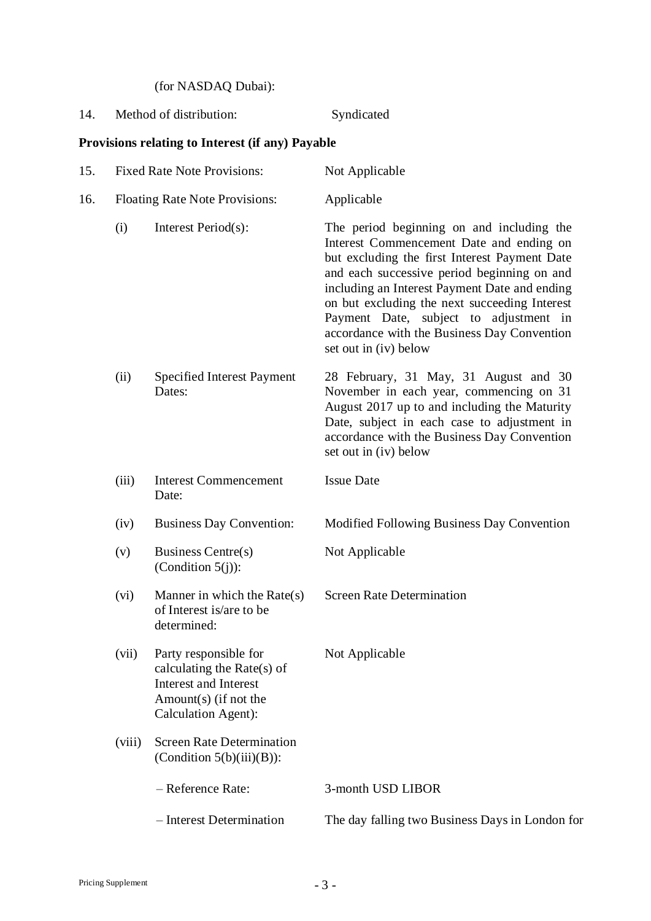(for NASDAQ Dubai):

14. Method of distribution: Syndicated

# **Provisions relating to Interest (if any) Payable**

| 15. |                                | <b>Fixed Rate Note Provisions:</b>                                                                                                     | Not Applicable                                                                                                                                                                                                                                                                                                                                                                                            |
|-----|--------------------------------|----------------------------------------------------------------------------------------------------------------------------------------|-----------------------------------------------------------------------------------------------------------------------------------------------------------------------------------------------------------------------------------------------------------------------------------------------------------------------------------------------------------------------------------------------------------|
| 16. | Floating Rate Note Provisions: |                                                                                                                                        | Applicable                                                                                                                                                                                                                                                                                                                                                                                                |
|     | (i)                            | Interest Period(s):                                                                                                                    | The period beginning on and including the<br>Interest Commencement Date and ending on<br>but excluding the first Interest Payment Date<br>and each successive period beginning on and<br>including an Interest Payment Date and ending<br>on but excluding the next succeeding Interest<br>Payment Date, subject to adjustment in<br>accordance with the Business Day Convention<br>set out in (iv) below |
|     | (ii)                           | <b>Specified Interest Payment</b><br>Dates:                                                                                            | 28 February, 31 May, 31 August and 30<br>November in each year, commencing on 31<br>August 2017 up to and including the Maturity<br>Date, subject in each case to adjustment in<br>accordance with the Business Day Convention<br>set out in (iv) below                                                                                                                                                   |
|     | (iii)                          | <b>Interest Commencement</b><br>Date:                                                                                                  | <b>Issue Date</b>                                                                                                                                                                                                                                                                                                                                                                                         |
|     | (iv)                           | <b>Business Day Convention:</b>                                                                                                        | Modified Following Business Day Convention                                                                                                                                                                                                                                                                                                                                                                |
|     | (v)                            | <b>Business Centre(s)</b><br>(Condition $5(j)$ ):                                                                                      | Not Applicable                                                                                                                                                                                                                                                                                                                                                                                            |
|     | (vi)                           | Manner in which the $Rate(s)$<br>of Interest is/are to be<br>determined:                                                               | <b>Screen Rate Determination</b>                                                                                                                                                                                                                                                                                                                                                                          |
|     | (vii)                          | Party responsible for<br>calculating the Rate(s) of<br><b>Interest and Interest</b><br>Amount $(s)$ (if not the<br>Calculation Agent): | Not Applicable                                                                                                                                                                                                                                                                                                                                                                                            |
|     | (viii)                         | <b>Screen Rate Determination</b><br>(Condition $5(b)(iii)(B)$ ):                                                                       |                                                                                                                                                                                                                                                                                                                                                                                                           |
|     |                                | - Reference Rate:                                                                                                                      | 3-month USD LIBOR                                                                                                                                                                                                                                                                                                                                                                                         |
|     |                                | - Interest Determination                                                                                                               | The day falling two Business Days in London for                                                                                                                                                                                                                                                                                                                                                           |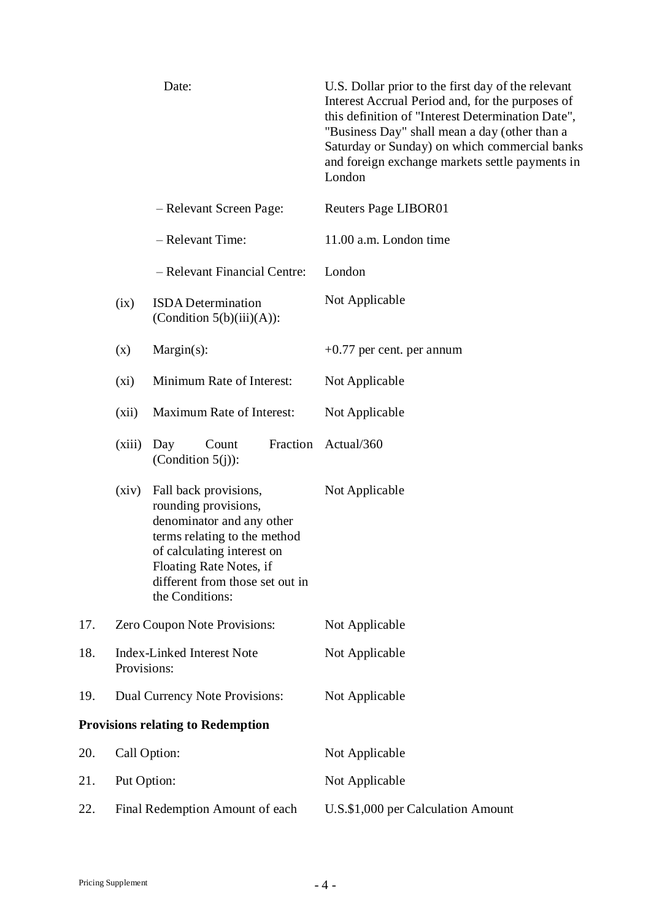|                                          |                                 | Date:                                                                                                                                                                                                                     | U.S. Dollar prior to the first day of the relevant<br>Interest Accrual Period and, for the purposes of<br>this definition of "Interest Determination Date",<br>"Business Day" shall mean a day (other than a<br>Saturday or Sunday) on which commercial banks<br>and foreign exchange markets settle payments in<br>London |
|------------------------------------------|---------------------------------|---------------------------------------------------------------------------------------------------------------------------------------------------------------------------------------------------------------------------|----------------------------------------------------------------------------------------------------------------------------------------------------------------------------------------------------------------------------------------------------------------------------------------------------------------------------|
|                                          |                                 | - Relevant Screen Page:                                                                                                                                                                                                   | Reuters Page LIBOR01                                                                                                                                                                                                                                                                                                       |
|                                          |                                 | - Relevant Time:                                                                                                                                                                                                          | 11.00 a.m. London time                                                                                                                                                                                                                                                                                                     |
|                                          |                                 | - Relevant Financial Centre:                                                                                                                                                                                              | London                                                                                                                                                                                                                                                                                                                     |
|                                          | (ix)                            | <b>ISDA</b> Determination<br>(Condition $5(b)(iii)(A)$ ):                                                                                                                                                                 | Not Applicable                                                                                                                                                                                                                                                                                                             |
|                                          | (x)                             | $Margin(s)$ :                                                                                                                                                                                                             | $+0.77$ per cent. per annum                                                                                                                                                                                                                                                                                                |
|                                          | (xi)                            | Minimum Rate of Interest:                                                                                                                                                                                                 | Not Applicable                                                                                                                                                                                                                                                                                                             |
|                                          | (xii)                           | Maximum Rate of Interest:                                                                                                                                                                                                 | Not Applicable                                                                                                                                                                                                                                                                                                             |
|                                          | (xiii)                          | Fraction<br>Count<br>Day<br>(Condition $5(j)$ ):                                                                                                                                                                          | Actual/360                                                                                                                                                                                                                                                                                                                 |
|                                          | (xiv)                           | Fall back provisions,<br>rounding provisions,<br>denominator and any other<br>terms relating to the method<br>of calculating interest on<br>Floating Rate Notes, if<br>different from those set out in<br>the Conditions: | Not Applicable                                                                                                                                                                                                                                                                                                             |
| 17.                                      |                                 | Zero Coupon Note Provisions:                                                                                                                                                                                              | Not Applicable                                                                                                                                                                                                                                                                                                             |
| 18.                                      | Provisions:                     | <b>Index-Linked Interest Note</b>                                                                                                                                                                                         | Not Applicable                                                                                                                                                                                                                                                                                                             |
| 19.                                      |                                 | Dual Currency Note Provisions:                                                                                                                                                                                            | Not Applicable                                                                                                                                                                                                                                                                                                             |
| <b>Provisions relating to Redemption</b> |                                 |                                                                                                                                                                                                                           |                                                                                                                                                                                                                                                                                                                            |
| 20.                                      | Call Option:                    |                                                                                                                                                                                                                           | Not Applicable                                                                                                                                                                                                                                                                                                             |
| 21.                                      | Put Option:                     |                                                                                                                                                                                                                           | Not Applicable                                                                                                                                                                                                                                                                                                             |
| 22.                                      | Final Redemption Amount of each |                                                                                                                                                                                                                           | U.S.\$1,000 per Calculation Amount                                                                                                                                                                                                                                                                                         |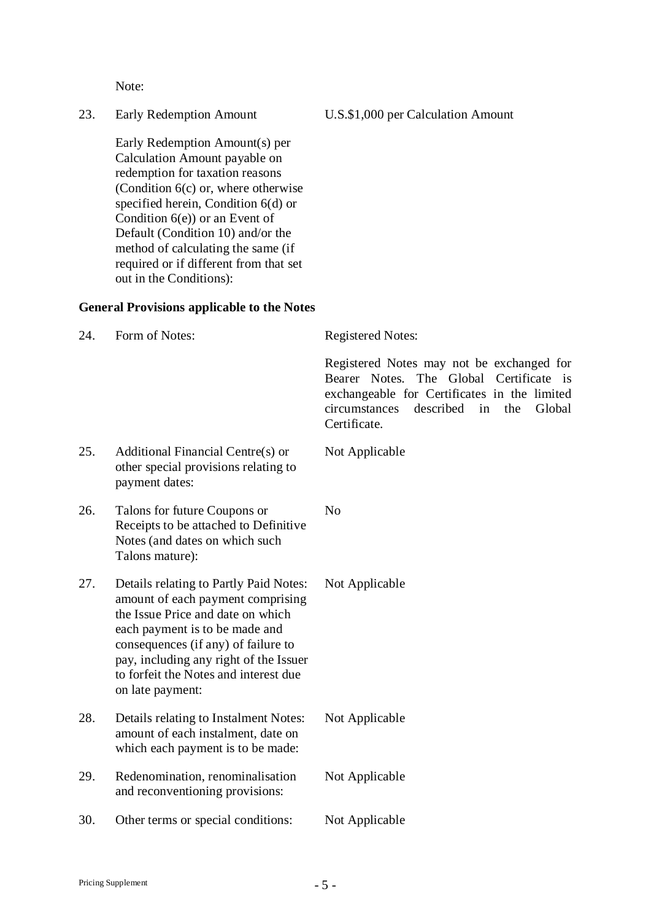Note:

Early Redemption Amount(s) per Calculation Amount payable on redemption for taxation reasons (Condition  $6(c)$  or, where otherwise specified herein, Condition 6(d) or Condition  $6(e)$  or an Event of Default (Condition 10) and/or the method of calculating the same (if required or if different from that set out in the Conditions):

#### **General Provisions applicable to the Notes**

| 24. | Form of Notes:                                                                                                                                                                                                                                                                                   | <b>Registered Notes:</b>                                                                                                                                                                                  |  |
|-----|--------------------------------------------------------------------------------------------------------------------------------------------------------------------------------------------------------------------------------------------------------------------------------------------------|-----------------------------------------------------------------------------------------------------------------------------------------------------------------------------------------------------------|--|
|     |                                                                                                                                                                                                                                                                                                  | Registered Notes may not be exchanged for<br>Bearer Notes. The Global Certificate is<br>exchangeable for Certificates in the limited<br>described<br>circumstances<br>in<br>the<br>Global<br>Certificate. |  |
| 25. | Additional Financial Centre(s) or<br>other special provisions relating to<br>payment dates:                                                                                                                                                                                                      | Not Applicable                                                                                                                                                                                            |  |
| 26. | Talons for future Coupons or<br>Receipts to be attached to Definitive<br>Notes (and dates on which such<br>Talons mature):                                                                                                                                                                       | N <sub>o</sub>                                                                                                                                                                                            |  |
| 27. | Details relating to Partly Paid Notes:<br>amount of each payment comprising<br>the Issue Price and date on which<br>each payment is to be made and<br>consequences (if any) of failure to<br>pay, including any right of the Issuer<br>to forfeit the Notes and interest due<br>on late payment: | Not Applicable                                                                                                                                                                                            |  |
| 28. | Details relating to Instalment Notes:<br>amount of each instalment, date on<br>which each payment is to be made:                                                                                                                                                                                 | Not Applicable                                                                                                                                                                                            |  |
| 29. | Redenomination, renominalisation<br>and reconventioning provisions:                                                                                                                                                                                                                              | Not Applicable                                                                                                                                                                                            |  |
| 30. | Other terms or special conditions:                                                                                                                                                                                                                                                               | Not Applicable                                                                                                                                                                                            |  |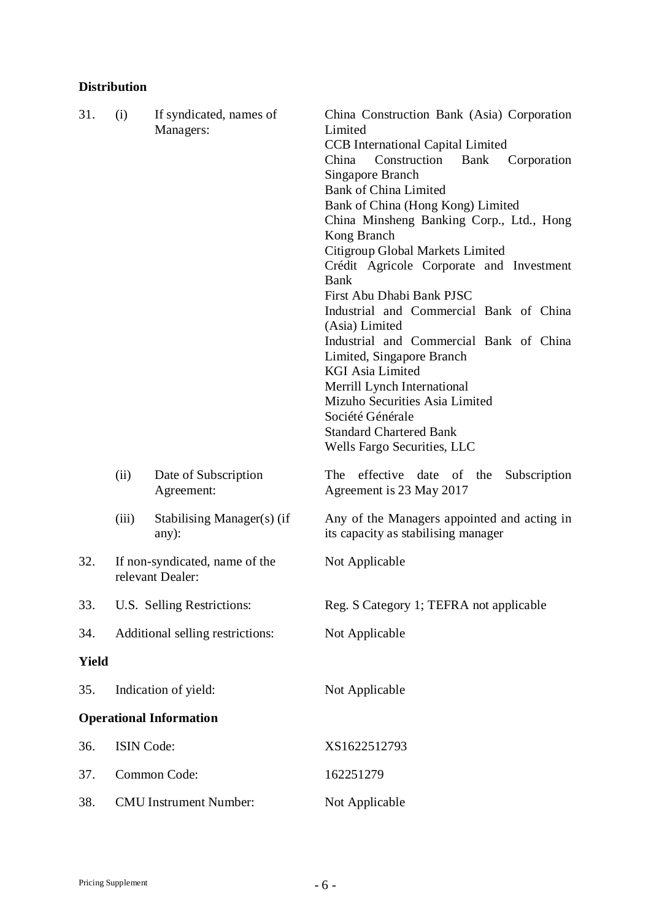## **Distribution**

| 31.          | (i)                           | If syndicated, names of<br>Managers:               | China Construction Bank (Asia) Corporation<br>Limited<br><b>CCB</b> International Capital Limited<br>China<br>Construction<br>Bank<br>Corporation<br>Singapore Branch<br><b>Bank of China Limited</b><br>Bank of China (Hong Kong) Limited<br>China Minsheng Banking Corp., Ltd., Hong<br>Kong Branch<br>Citigroup Global Markets Limited<br>Crédit Agricole Corporate and Investment<br><b>Bank</b><br>First Abu Dhabi Bank PJSC<br>Industrial and Commercial Bank of China<br>(Asia) Limited |
|--------------|-------------------------------|----------------------------------------------------|------------------------------------------------------------------------------------------------------------------------------------------------------------------------------------------------------------------------------------------------------------------------------------------------------------------------------------------------------------------------------------------------------------------------------------------------------------------------------------------------|
|              |                               |                                                    | Industrial and Commercial Bank of China<br>Limited, Singapore Branch<br><b>KGI Asia Limited</b><br>Merrill Lynch International<br>Mizuho Securities Asia Limited<br>Société Générale<br><b>Standard Chartered Bank</b><br>Wells Fargo Securities, LLC                                                                                                                                                                                                                                          |
|              | (ii)                          | Date of Subscription<br>Agreement:                 | effective date of the<br>The<br>Subscription<br>Agreement is 23 May 2017                                                                                                                                                                                                                                                                                                                                                                                                                       |
|              | (iii)                         | Stabilising Manager(s) (if<br>any):                | Any of the Managers appointed and acting in<br>its capacity as stabilising manager                                                                                                                                                                                                                                                                                                                                                                                                             |
| 32.          |                               | If non-syndicated, name of the<br>relevant Dealer: | Not Applicable                                                                                                                                                                                                                                                                                                                                                                                                                                                                                 |
| 33.          | U.S. Selling Restrictions:    |                                                    | Reg. S Category 1; TEFRA not applicable                                                                                                                                                                                                                                                                                                                                                                                                                                                        |
| 34.          |                               | Additional selling restrictions:                   | Not Applicable                                                                                                                                                                                                                                                                                                                                                                                                                                                                                 |
| <b>Yield</b> |                               |                                                    |                                                                                                                                                                                                                                                                                                                                                                                                                                                                                                |
| 35.          | Indication of yield:          |                                                    | Not Applicable                                                                                                                                                                                                                                                                                                                                                                                                                                                                                 |
|              |                               | <b>Operational Information</b>                     |                                                                                                                                                                                                                                                                                                                                                                                                                                                                                                |
| 36.          | ISIN Code:                    |                                                    | XS1622512793                                                                                                                                                                                                                                                                                                                                                                                                                                                                                   |
| 37.          | Common Code:                  |                                                    | 162251279                                                                                                                                                                                                                                                                                                                                                                                                                                                                                      |
| 38.          | <b>CMU</b> Instrument Number: |                                                    | Not Applicable                                                                                                                                                                                                                                                                                                                                                                                                                                                                                 |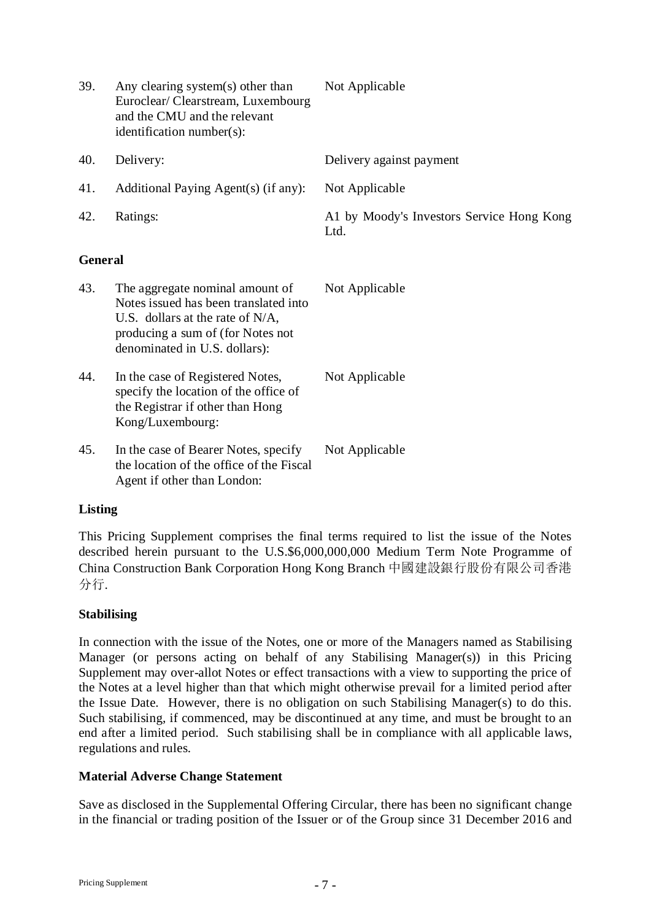| 39.            | Any clearing system(s) other than<br>Euroclear/Clearstream, Luxembourg<br>and the CMU and the relevant<br>identification number(s):                                                   | Not Applicable                                    |  |  |
|----------------|---------------------------------------------------------------------------------------------------------------------------------------------------------------------------------------|---------------------------------------------------|--|--|
| 40.            | Delivery:                                                                                                                                                                             | Delivery against payment                          |  |  |
| 41.            | Additional Paying Agent(s) (if any):                                                                                                                                                  | Not Applicable                                    |  |  |
| 42.            | Ratings:                                                                                                                                                                              | A1 by Moody's Investors Service Hong Kong<br>Ltd. |  |  |
| <b>General</b> |                                                                                                                                                                                       |                                                   |  |  |
| 43.            | The aggregate nominal amount of<br>Notes issued has been translated into<br>U.S. dollars at the rate of $N/A$ ,<br>producing a sum of (for Notes not<br>denominated in U.S. dollars): | Not Applicable                                    |  |  |
| 44.            | In the case of Registered Notes,<br>specify the location of the office of<br>the Registrar if other than Hong<br>Kong/Luxembourg:                                                     | Not Applicable                                    |  |  |
| 45.            | In the case of Bearer Notes, specify<br>the location of the office of the Fiscal<br>Agent if other than London:                                                                       | Not Applicable                                    |  |  |

## **Listing**

This Pricing Supplement comprises the final terms required to list the issue of the Notes described herein pursuant to the U.S.\$6,000,000,000 Medium Term Note Programme of China Construction Bank Corporation Hong Kong Branch 中國建設銀行股份有限公司香港 分行.

## **Stabilising**

In connection with the issue of the Notes, one or more of the Managers named as Stabilising Manager (or persons acting on behalf of any Stabilising Manager(s)) in this Pricing Supplement may over-allot Notes or effect transactions with a view to supporting the price of the Notes at a level higher than that which might otherwise prevail for a limited period after the Issue Date. However, there is no obligation on such Stabilising Manager(s) to do this. Such stabilising, if commenced, may be discontinued at any time, and must be brought to an end after a limited period. Such stabilising shall be in compliance with all applicable laws, regulations and rules.

## **Material Adverse Change Statement**

Save as disclosed in the Supplemental Offering Circular, there has been no significant change in the financial or trading position of the Issuer or of the Group since 31 December 2016 and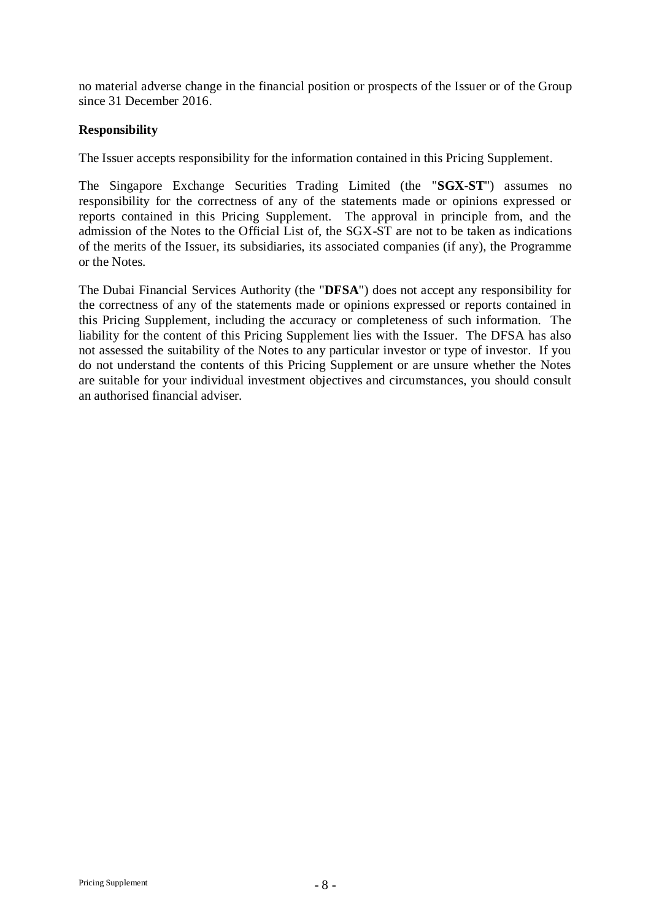no material adverse change in the financial position or prospects of the Issuer or of the Group since 31 December 2016.

### **Responsibility**

The Issuer accepts responsibility for the information contained in this Pricing Supplement.

The Singapore Exchange Securities Trading Limited (the "**SGX-ST**") assumes no responsibility for the correctness of any of the statements made or opinions expressed or reports contained in this Pricing Supplement. The approval in principle from, and the admission of the Notes to the Official List of, the SGX-ST are not to be taken as indications of the merits of the Issuer, its subsidiaries, its associated companies (if any), the Programme or the Notes.

The Dubai Financial Services Authority (the "**DFSA**") does not accept any responsibility for the correctness of any of the statements made or opinions expressed or reports contained in this Pricing Supplement, including the accuracy or completeness of such information. The liability for the content of this Pricing Supplement lies with the Issuer. The DFSA has also not assessed the suitability of the Notes to any particular investor or type of investor. If you do not understand the contents of this Pricing Supplement or are unsure whether the Notes are suitable for your individual investment objectives and circumstances, you should consult an authorised financial adviser.